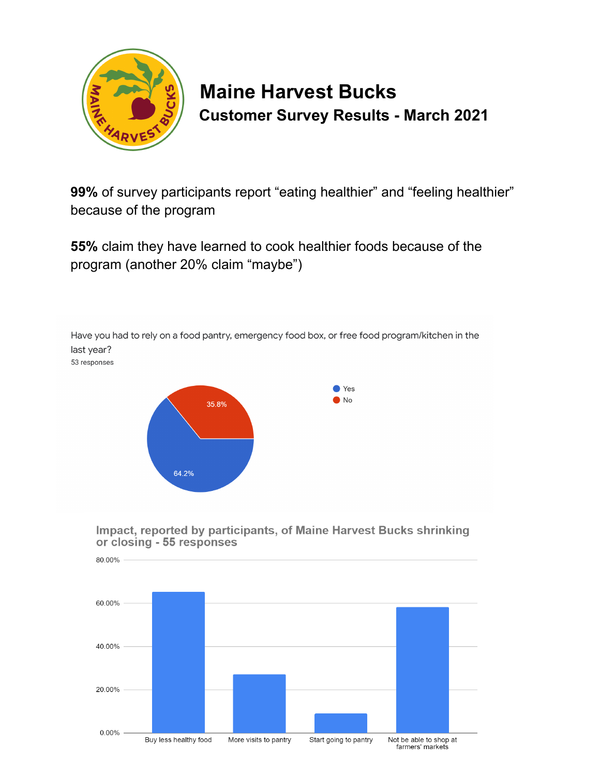

## **Maine Harvest Bucks Customer Survey Results - March 2021**

**99%** of survey participants report "eating healthier" and "feeling healthier" because of the program

**55%** claim they have learned to cook healthier foods because of the program (another 20% claim "maybe")



Impact, reported by participants, of Maine Harvest Bucks shrinking or closing - 55 responses